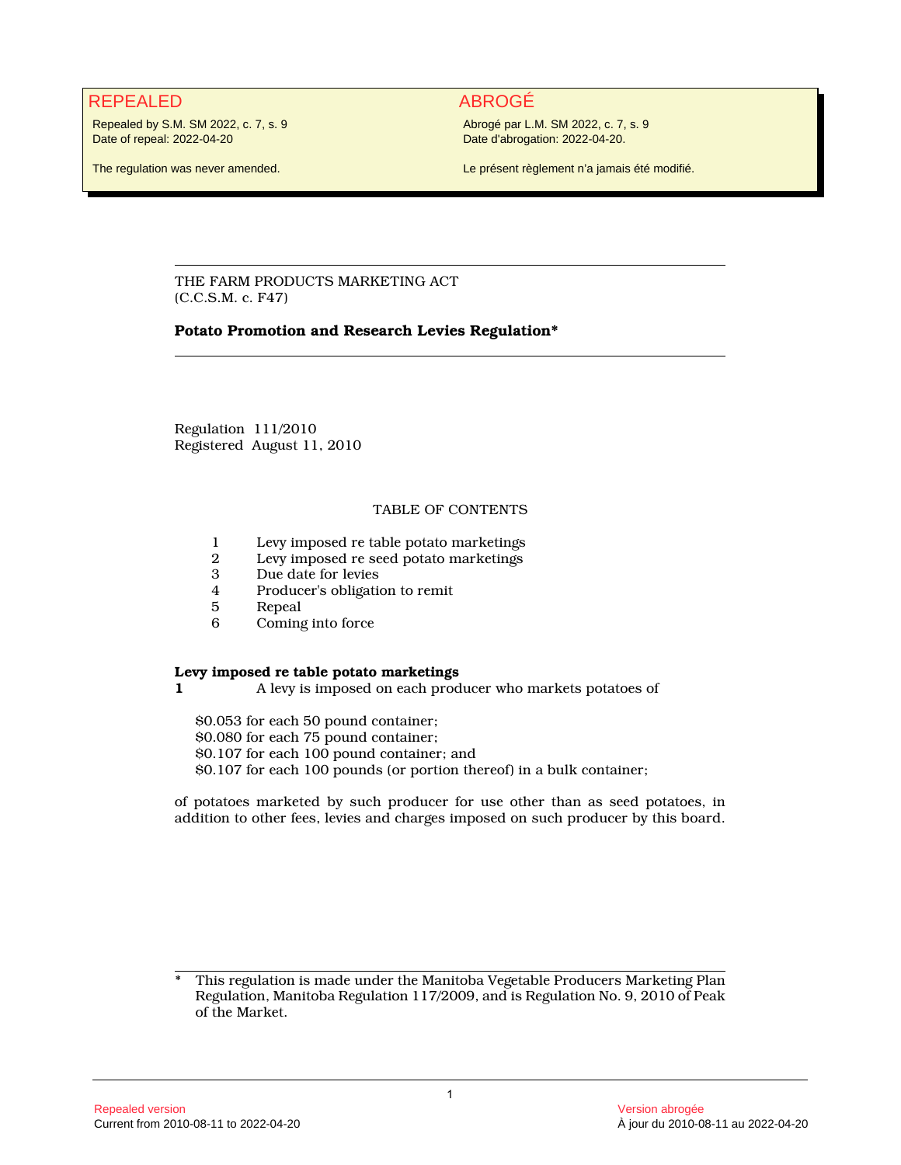# REPEALED ABROGÉ

Repealed by S.M. SM 2022, c. 7, s. 9 Date of repeal: 2022-04-20

Abrogé par L.M. SM 2022, c. 7, s. 9 Date d'abrogation: 2022-04-20.

The regulation was never amended.

Le présent règlement n'a jamais été modifié.

THE FARM PRODUCTS MARKETING ACT (C.C.S.M. c. F47)

## **Potato Promotion and Research Levies Regulation\***

Regulation 111/2010 Registered August 11, 2010

# TABLE OF CONTENTS

- 1 Levy imposed re table potato marketings<br>2 Levy imposed re seed potato marketings
- 2 Levy imposed re seed potato marketings
- 3 Due date for levies<br>4 Producer's obligation
- 4 Producer's obligation to remit
- 5 Repeal<br>6 Coming
- Coming into force

## **Levy imposed re table potato marketings**

**1** A levy is imposed on each producer who markets potatoes of

\$0.053 for each 50 pound container; \$0.080 for each 75 pound container; \$0.107 for each 100 pound container; and \$0.107 for each 100 pounds (or portion thereof) in a bulk container;

of potatoes marketed by such producer for use other than as seed potatoes, in addition to other fees, levies and charges imposed on such producer by this board.

This regulation is made under the Manitoba Vegetable Producers Marketing Plan Regulation, Manitoba Regulation 117/2009, and is Regulation No. 9, 2010 of Peak of the Market.